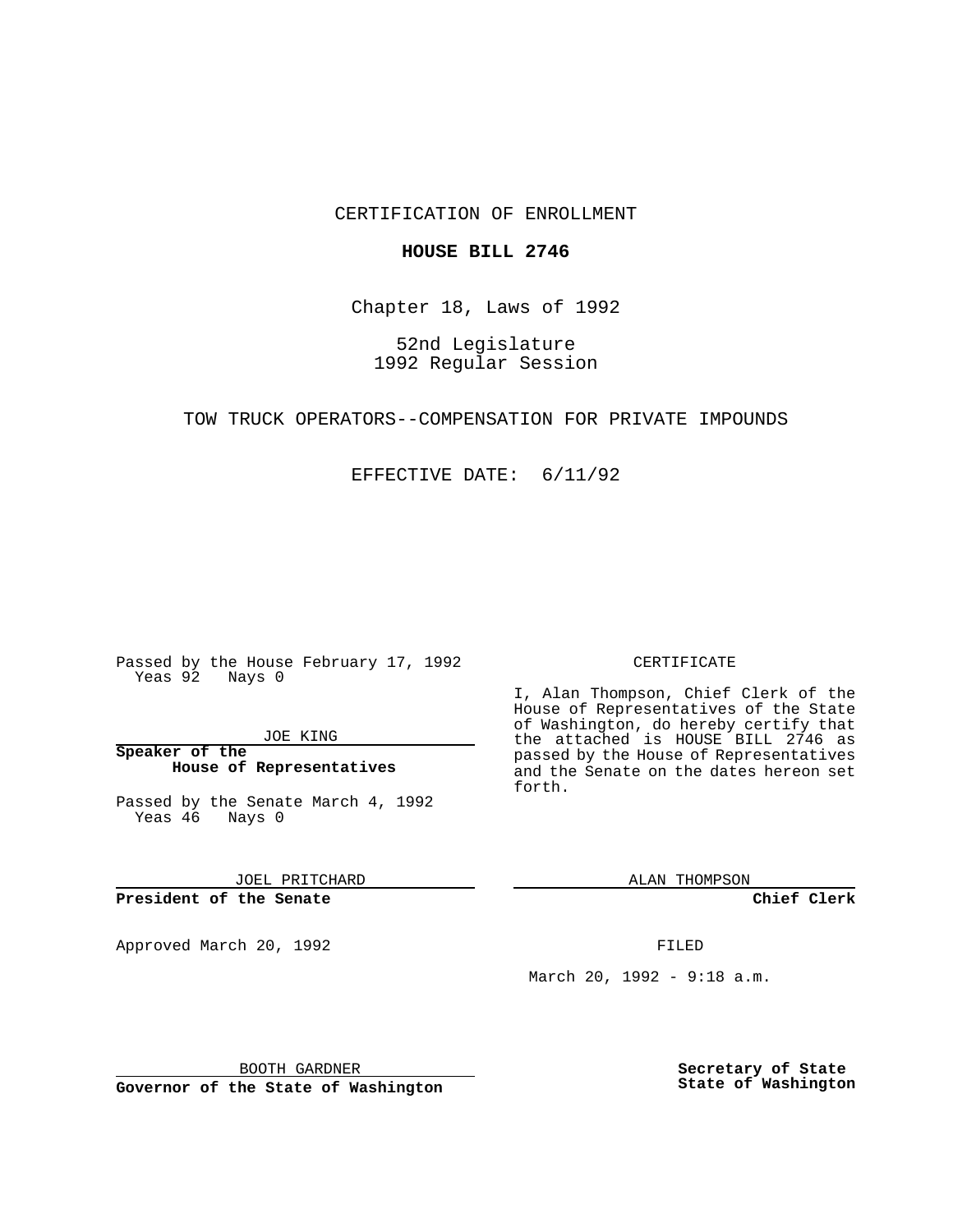CERTIFICATION OF ENROLLMENT

## **HOUSE BILL 2746**

Chapter 18, Laws of 1992

52nd Legislature 1992 Regular Session

TOW TRUCK OPERATORS--COMPENSATION FOR PRIVATE IMPOUNDS

EFFECTIVE DATE: 6/11/92

Passed by the House February 17, 1992 Yeas 92 Nays 0

JOE KING

**Speaker of the House of Representatives**

Passed by the Senate March 4, 1992 Yeas 46 Nays 0

JOEL PRITCHARD

**President of the Senate**

Approved March 20, 1992 **FILED** 

## CERTIFICATE

I, Alan Thompson, Chief Clerk of the House of Representatives of the State of Washington, do hereby certify that the attached is HOUSE BILL 2746 as passed by the House of Representatives and the Senate on the dates hereon set forth.

ALAN THOMPSON

**Chief Clerk**

March 20, 1992 - 9:18 a.m.

BOOTH GARDNER

**Governor of the State of Washington**

**Secretary of State State of Washington**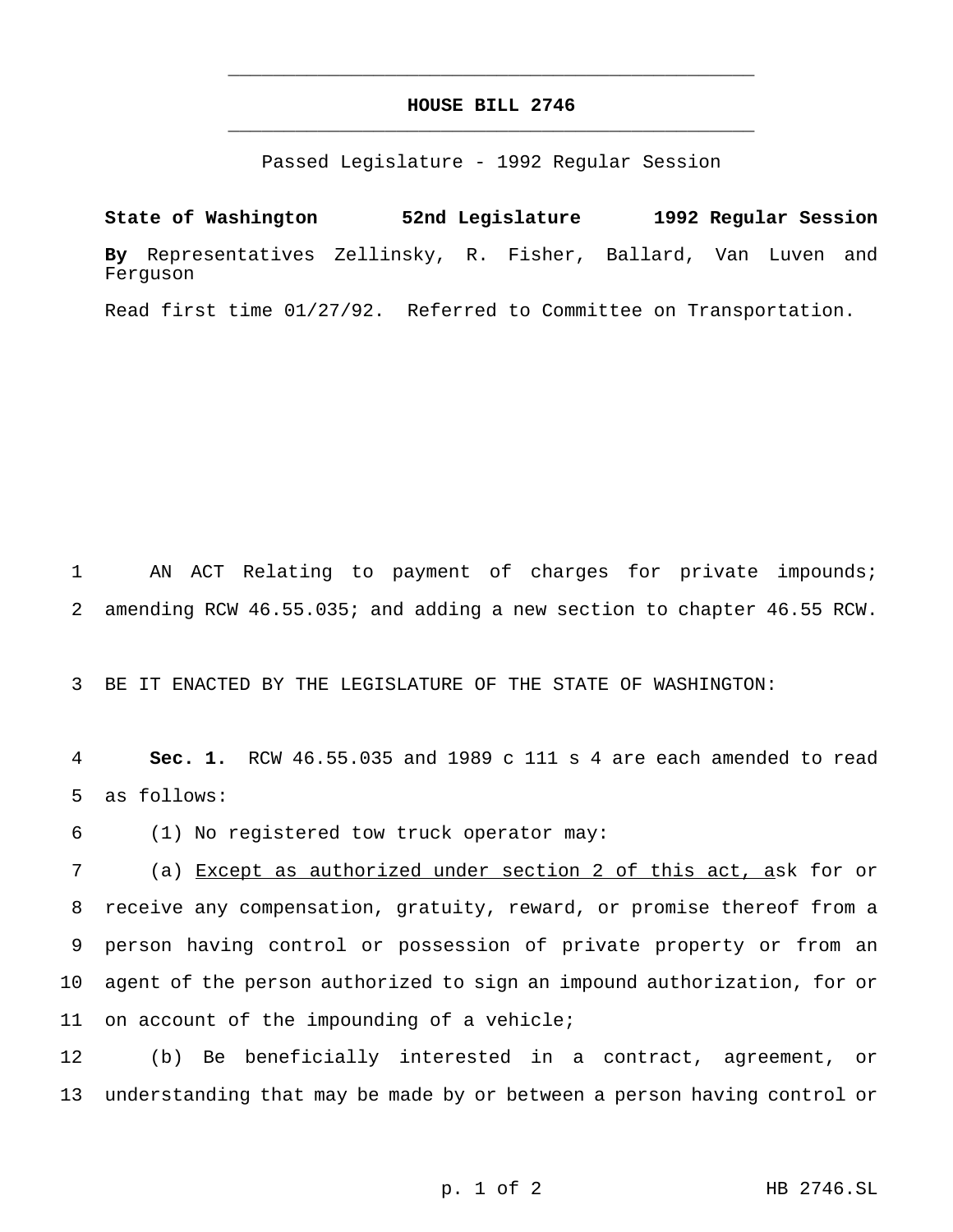## **HOUSE BILL 2746** \_\_\_\_\_\_\_\_\_\_\_\_\_\_\_\_\_\_\_\_\_\_\_\_\_\_\_\_\_\_\_\_\_\_\_\_\_\_\_\_\_\_\_\_\_\_\_

\_\_\_\_\_\_\_\_\_\_\_\_\_\_\_\_\_\_\_\_\_\_\_\_\_\_\_\_\_\_\_\_\_\_\_\_\_\_\_\_\_\_\_\_\_\_\_

Passed Legislature - 1992 Regular Session

**State of Washington 52nd Legislature 1992 Regular Session By** Representatives Zellinsky, R. Fisher, Ballard, Van Luven and Ferguson

Read first time 01/27/92. Referred to Committee on Transportation.

1 AN ACT Relating to payment of charges for private impounds; 2 amending RCW 46.55.035; and adding a new section to chapter 46.55 RCW.

3 BE IT ENACTED BY THE LEGISLATURE OF THE STATE OF WASHINGTON:

4 **Sec. 1.** RCW 46.55.035 and 1989 c 111 s 4 are each amended to read 5 as follows:

6 (1) No registered tow truck operator may:

 (a) Except as authorized under section 2 of this act, ask for or receive any compensation, gratuity, reward, or promise thereof from a person having control or possession of private property or from an agent of the person authorized to sign an impound authorization, for or on account of the impounding of a vehicle;

12 (b) Be beneficially interested in a contract, agreement, or 13 understanding that may be made by or between a person having control or